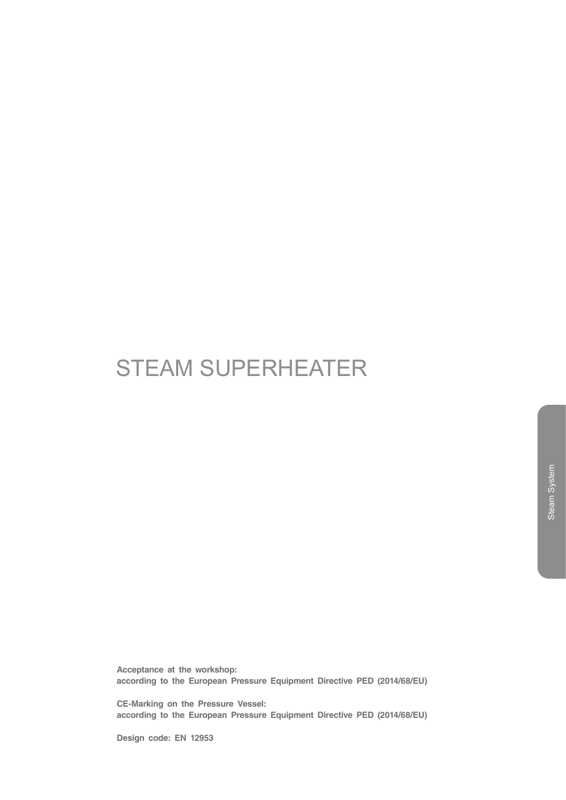# STEAM SUPERHEATER

**Acceptance at the workshop: according to the European Pressure Equipment Directive PED (2014/68/EU)**

**CE-Marking on the Pressure Vessel: according to the European Pressure Equipment Directive PED (2014/68/EU)**

**Design code: EN 12953**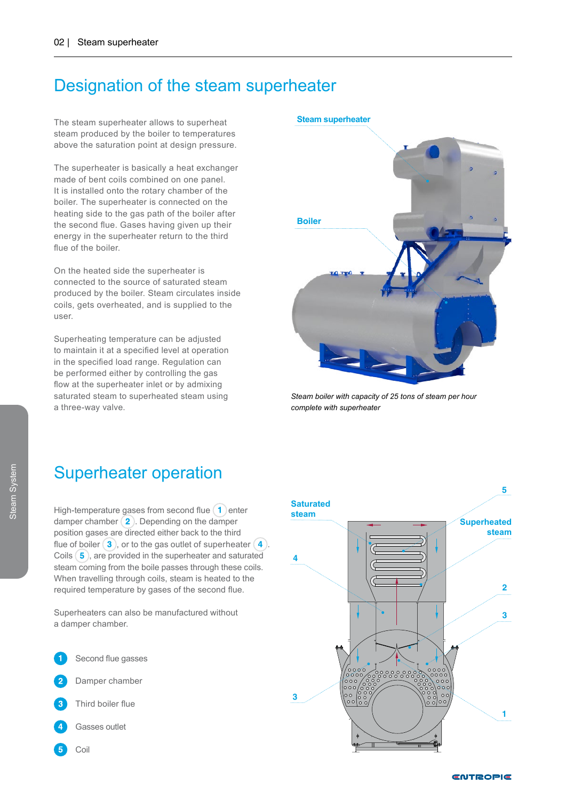# Designation of the steam superheater

The steam superheater allows to superheat steam produced by the boiler to temperatures above the saturation point at design pressure.

The superheater is basically a heat exchanger made of bent coils combined on one panel. It is installed onto the rotary chamber of the boiler. The superheater is connected on the heating side to the gas path of the boiler after the second flue. Gases having given up their energy in the superheater return to the third flue of the boiler.

On the heated side the superheater is connected to the source of saturated steam produced by the boiler. Steam circulates inside coils, gets overheated, and is supplied to the user.

Superheating temperature can be adjusted to maintain it at a specified level at operation in the specified load range. Regulation can be performed either by controlling the gas flow at the superheater inlet or by admixing saturated steam to superheated steam using a three-way valve.

# **Boiler**

*Steam boiler with capacity of 25 tons of steam per hour complete with superheater*

## Superheater operation

High-temperature gases from second flue  $\left( \mathbf{1}\right)$  enter damper chamber  $(2)$ . Depending on the damper position gases are directed either back to the third flue of boiler  $(3)$ , or to the gas outlet of superheater  $(4)$ . Coils  $(5)$ , are provided in the superheater and saturated steam coming from the boile passes through these coils. When travelling through coils, steam is heated to the required temperature by gases of the second flue.

Superheaters can also be manufactured without a damper chamber.



- Gasses outlet
- Coil



### **Steam superheater**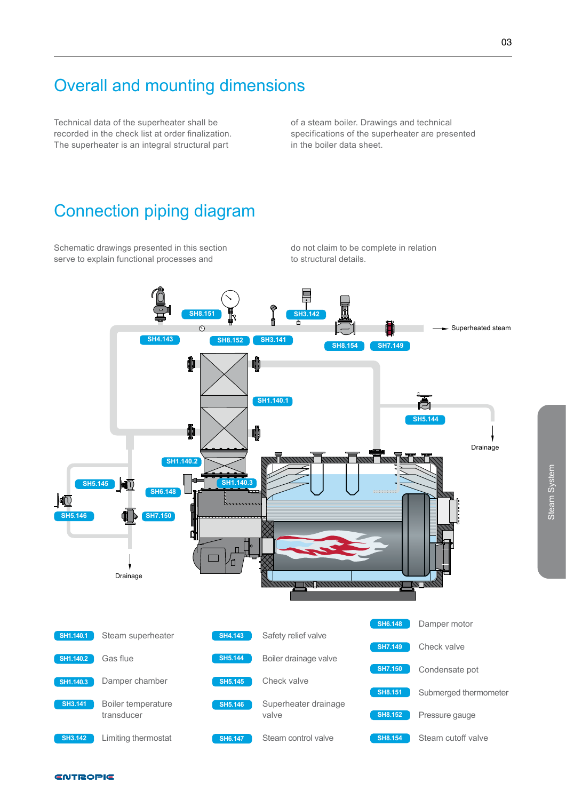# Overall and mounting dimensions

Technical data of the superheater shall be recorded in the check list at order finalization. The superheater is an integral structural part

of a steam boiler. Drawings and technical specifications of the superheater are presented in the boiler data sheet.

# Connection piping diagram

Schematic drawings presented in this section serve to explain functional processes and

do not claim to be complete in relation to structural details.